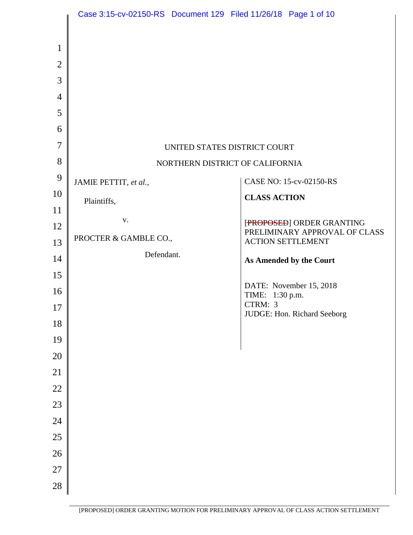|                | Case 3:15-cv-02150-RS Document 129 Filed 11/26/18 Page 1 of 10 |  |                            |                               |
|----------------|----------------------------------------------------------------|--|----------------------------|-------------------------------|
|                |                                                                |  |                            |                               |
| $\mathbf{1}$   |                                                                |  |                            |                               |
| $\overline{2}$ |                                                                |  |                            |                               |
| 3              |                                                                |  |                            |                               |
| $\overline{4}$ |                                                                |  |                            |                               |
| 5              |                                                                |  |                            |                               |
| 6              |                                                                |  |                            |                               |
| $\overline{7}$ | UNITED STATES DISTRICT COURT                                   |  |                            |                               |
| 8              | NORTHERN DISTRICT OF CALIFORNIA                                |  |                            |                               |
| 9              | JAMIE PETTIT, et al.,                                          |  |                            | CASE NO: 15-cv-02150-RS       |
| 10             | Plaintiffs,                                                    |  | <b>CLASS ACTION</b>        |                               |
| 11             | $\mathbf{V}$ .                                                 |  |                            | [PROPOSED] ORDER GRANTING     |
| 12             | PROCTER & GAMBLE CO.,                                          |  |                            | PRELIMINARY APPROVAL OF CLASS |
| 13             | Defendant.                                                     |  |                            | <b>ACTION SETTLEMENT</b>      |
| 14             |                                                                |  |                            | As Amended by the Court       |
| 15             |                                                                |  |                            | DATE: November 15, 2018       |
| 16             |                                                                |  | TIME: 1:30 p.m.<br>CTRM: 3 |                               |
| 17<br>18       |                                                                |  |                            | JUDGE: Hon. Richard Seeborg   |
| 19             |                                                                |  |                            |                               |
| 20             |                                                                |  |                            |                               |
| 21             |                                                                |  |                            |                               |
| 22             |                                                                |  |                            |                               |
| 23             |                                                                |  |                            |                               |
| 24             |                                                                |  |                            |                               |
| 25             |                                                                |  |                            |                               |
| 26             |                                                                |  |                            |                               |
| 27             |                                                                |  |                            |                               |
| 28             |                                                                |  |                            |                               |
|                |                                                                |  |                            |                               |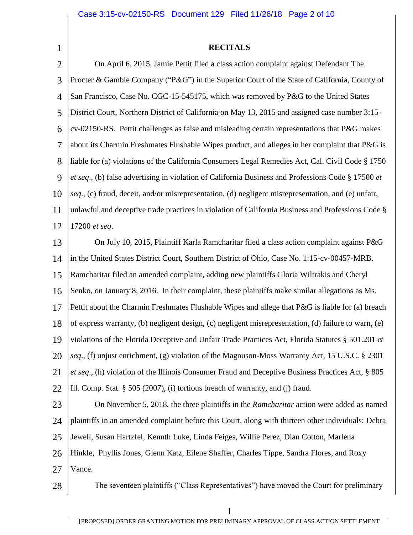1

### **RECITALS**

2 3 4 5 6 7 8 9 10 11 12 On April 6, 2015, Jamie Pettit filed a class action complaint against Defendant The Procter & Gamble Company ("P&G") in the Superior Court of the State of California, County of San Francisco, Case No. CGC-15-545175, which was removed by P&G to the United States District Court, Northern District of California on May 13, 2015 and assigned case number 3:15 cv-02150-RS. Pettit challenges as false and misleading certain representations that P&G makes about its Charmin Freshmates Flushable Wipes product, and alleges in her complaint that P&G is liable for (a) violations of the California Consumers Legal Remedies Act, Cal. Civil Code § 1750 *et seq*., (b) false advertising in violation of California Business and Professions Code § 17500 *et seq*., (c) fraud, deceit, and/or misrepresentation, (d) negligent misrepresentation, and (e) unfair, unlawful and deceptive trade practices in violation of California Business and Professions Code § 17200 *et seq*.

13 14 15 16 17 18 19 20 21 22 On July 10, 2015, Plaintiff Karla Ramcharitar filed a class action complaint against P&G in the United States District Court, Southern District of Ohio, Case No. 1:15-cv-00457-MRB. Ramcharitar filed an amended complaint, adding new plaintiffs Gloria Wiltrakis and Cheryl Senko, on January 8, 2016. In their complaint, these plaintiffs make similar allegations as Ms. Pettit about the Charmin Freshmates Flushable Wipes and allege that P&G is liable for (a) breach of express warranty, (b) negligent design, (c) negligent misrepresentation, (d) failure to warn, (e) violations of the Florida Deceptive and Unfair Trade Practices Act, Florida Statutes § 501.201 *et seq*., (f) unjust enrichment, (g) violation of the Magnuson-Moss Warranty Act, 15 U.S.C. § 2301 *et seq*., (h) violation of the Illinois Consumer Fraud and Deceptive Business Practices Act, § 805 Ill. Comp. Stat. § 505 (2007), (i) tortious breach of warranty, and (j) fraud.

23 24 25 26 27 On November 5, 2018, the three plaintiffs in the *Ramcharitar* action were added as named plaintiffs in an amended complaint before this Court, along with thirteen other individuals: Debra Jewell, Susan Hartzfel, Kennth Luke, Linda Feiges, Willie Perez, Dian Cotton, Marlena Hinkle, Phyllis Jones, Glenn Katz, Eilene Shaffer, Charles Tippe, Sandra Flores, and Roxy Vance.

28 The seventeen plaintiffs ("Class Representatives") have moved the Court for preliminary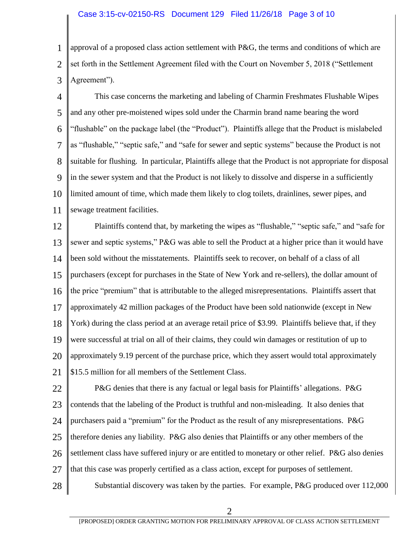#### Case 3:15-cv-02150-RS Document 129 Filed 11/26/18 Page 3 of 10

1 2 3 approval of a proposed class action settlement with  $P\&G$ , the terms and conditions of which are set forth in the Settlement Agreement filed with the Court on November 5, 2018 ("Settlement Agreement").

4 5 6 7 8 9 10 11 This case concerns the marketing and labeling of Charmin Freshmates Flushable Wipes and any other pre-moistened wipes sold under the Charmin brand name bearing the word "flushable" on the package label (the "Product"). Plaintiffs allege that the Product is mislabeled as "flushable," "septic safe," and "safe for sewer and septic systems" because the Product is not suitable for flushing. In particular, Plaintiffs allege that the Product is not appropriate for disposal in the sewer system and that the Product is not likely to dissolve and disperse in a sufficiently limited amount of time, which made them likely to clog toilets, drainlines, sewer pipes, and sewage treatment facilities.

12 13 14 15 16 17 18 19 20 21 Plaintiffs contend that, by marketing the wipes as "flushable," "septic safe," and "safe for sewer and septic systems," P&G was able to sell the Product at a higher price than it would have been sold without the misstatements. Plaintiffs seek to recover, on behalf of a class of all purchasers (except for purchases in the State of New York and re-sellers), the dollar amount of the price "premium" that is attributable to the alleged misrepresentations. Plaintiffs assert that approximately 42 million packages of the Product have been sold nationwide (except in New York) during the class period at an average retail price of \$3.99. Plaintiffs believe that, if they were successful at trial on all of their claims, they could win damages or restitution of up to approximately 9.19 percent of the purchase price, which they assert would total approximately \$15.5 million for all members of the Settlement Class.

22 23 24 25 26 27 P&G denies that there is any factual or legal basis for Plaintiffs' allegations. P&G contends that the labeling of the Product is truthful and non-misleading. It also denies that purchasers paid a "premium" for the Product as the result of any misrepresentations. P&G therefore denies any liability. P&G also denies that Plaintiffs or any other members of the settlement class have suffered injury or are entitled to monetary or other relief. P&G also denies that this case was properly certified as a class action, except for purposes of settlement.

28 Substantial discovery was taken by the parties. For example, P&G produced over 112,000

2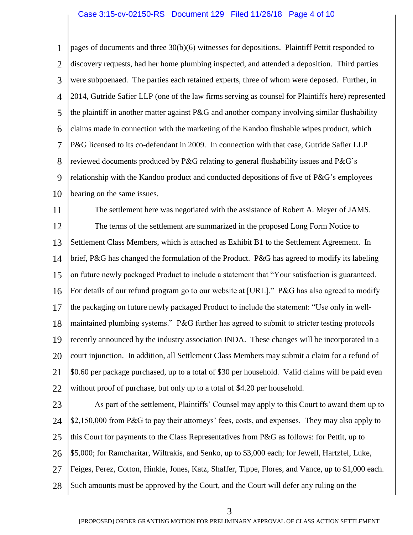### Case 3:15-cv-02150-RS Document 129 Filed 11/26/18 Page 4 of 10

1 2 3 4 5 6 7 8 9 10 pages of documents and three 30(b)(6) witnesses for depositions. Plaintiff Pettit responded to discovery requests, had her home plumbing inspected, and attended a deposition. Third parties were subpoenaed. The parties each retained experts, three of whom were deposed. Further, in 2014, Gutride Safier LLP (one of the law firms serving as counsel for Plaintiffs here) represented the plaintiff in another matter against P&G and another company involving similar flushability claims made in connection with the marketing of the Kandoo flushable wipes product, which P&G licensed to its co-defendant in 2009. In connection with that case, Gutride Safier LLP reviewed documents produced by P&G relating to general flushability issues and P&G's relationship with the Kandoo product and conducted depositions of five of P&G's employees bearing on the same issues.

11 12 13 14 15 16 17 18 19 20 21 22 The settlement here was negotiated with the assistance of Robert A. Meyer of JAMS. The terms of the settlement are summarized in the proposed Long Form Notice to Settlement Class Members, which is attached as Exhibit B1 to the Settlement Agreement. In brief, P&G has changed the formulation of the Product. P&G has agreed to modify its labeling on future newly packaged Product to include a statement that "Your satisfaction is guaranteed. For details of our refund program go to our website at [URL]." P&G has also agreed to modify the packaging on future newly packaged Product to include the statement: "Use only in wellmaintained plumbing systems." P&G further has agreed to submit to stricter testing protocols recently announced by the industry association INDA. These changes will be incorporated in a court injunction. In addition, all Settlement Class Members may submit a claim for a refund of \$0.60 per package purchased, up to a total of \$30 per household. Valid claims will be paid even without proof of purchase, but only up to a total of \$4.20 per household.

23 24 25 26 27 28 As part of the settlement, Plaintiffs' Counsel may apply to this Court to award them up to \$2,150,000 from P&G to pay their attorneys' fees, costs, and expenses. They may also apply to this Court for payments to the Class Representatives from P&G as follows: for Pettit, up to \$5,000; for Ramcharitar, Wiltrakis, and Senko, up to \$3,000 each; for Jewell, Hartzfel, Luke, Feiges, Perez, Cotton, Hinkle, Jones, Katz, Shaffer, Tippe, Flores, and Vance, up to \$1,000 each. Such amounts must be approved by the Court, and the Court will defer any ruling on the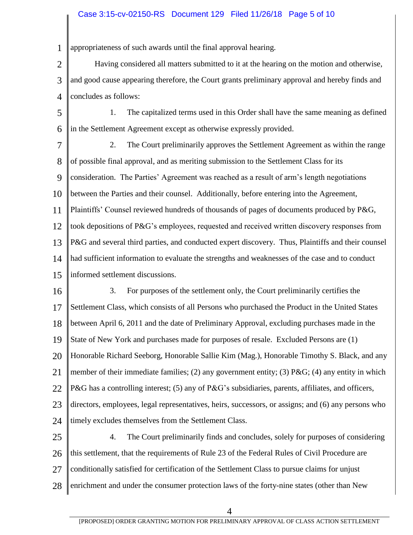# Case 3:15-cv-02150-RS Document 129 Filed 11/26/18 Page 5 of 10

1 appropriateness of such awards until the final approval hearing.

2 3 4 Having considered all matters submitted to it at the hearing on the motion and otherwise, and good cause appearing therefore, the Court grants preliminary approval and hereby finds and concludes as follows:

5 6 1. The capitalized terms used in this Order shall have the same meaning as defined in the Settlement Agreement except as otherwise expressly provided.

7 8 9 10 11 12 13 14 15 2. The Court preliminarily approves the Settlement Agreement as within the range of possible final approval, and as meriting submission to the Settlement Class for its consideration. The Parties' Agreement was reached as a result of arm's length negotiations between the Parties and their counsel. Additionally, before entering into the Agreement, Plaintiffs' Counsel reviewed hundreds of thousands of pages of documents produced by P&G, took depositions of P&G's employees, requested and received written discovery responses from P&G and several third parties, and conducted expert discovery. Thus, Plaintiffs and their counsel had sufficient information to evaluate the strengths and weaknesses of the case and to conduct informed settlement discussions.

16 17 18 19 20 21 22 23 24 3. For purposes of the settlement only, the Court preliminarily certifies the Settlement Class, which consists of all Persons who purchased the Product in the United States between April 6, 2011 and the date of Preliminary Approval, excluding purchases made in the State of New York and purchases made for purposes of resale. Excluded Persons are (1) Honorable Richard Seeborg, Honorable Sallie Kim (Mag.), Honorable Timothy S. Black, and any member of their immediate families; (2) any government entity; (3) P&G; (4) any entity in which P&G has a controlling interest; (5) any of P&G's subsidiaries, parents, affiliates, and officers, directors, employees, legal representatives, heirs, successors, or assigns; and (6) any persons who timely excludes themselves from the Settlement Class.

25 26 27 28 4. The Court preliminarily finds and concludes, solely for purposes of considering this settlement, that the requirements of Rule 23 of the Federal Rules of Civil Procedure are conditionally satisfied for certification of the Settlement Class to pursue claims for unjust enrichment and under the consumer protection laws of the forty-nine states (other than New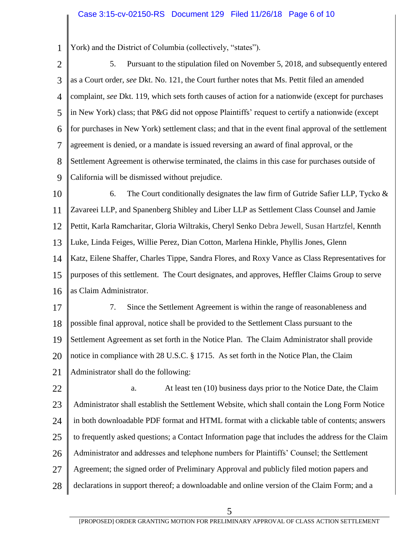## Case 3:15-cv-02150-RS Document 129 Filed 11/26/18 Page 6 of 10

York) and the District of Columbia (collectively, "states").

5. Pursuant to the stipulation filed on November 5, 2018, and subsequently entered as a Court order, *see* Dkt. No. 121, the Court further notes that Ms. Pettit filed an amended complaint, *see* Dkt. 119, which sets forth causes of action for a nationwide (except for purchases in New York) class; that P&G did not oppose Plaintiffs' request to certify a nationwide (except

1

2

3

4

- 5 6 7 8 9 for purchases in New York) settlement class; and that in the event final approval of the settlement agreement is denied, or a mandate is issued reversing an award of final approval, or the Settlement Agreement is otherwise terminated, the claims in this case for purchases outside of California will be dismissed without prejudice.
- 10 11 12 13 14 15 16 6. The Court conditionally designates the law firm of Gutride Safier LLP, Tycko  $\&$ Zavareei LLP, and Spanenberg Shibley and Liber LLP as Settlement Class Counsel and Jamie Pettit, Karla Ramcharitar, Gloria Wiltrakis, Cheryl Senko Debra Jewell, Susan Hartzfel, Kennth Luke, Linda Feiges, Willie Perez, Dian Cotton, Marlena Hinkle, Phyllis Jones, Glenn Katz, Eilene Shaffer, Charles Tippe, Sandra Flores, and Roxy Vance as Class Representatives for purposes of this settlement. The Court designates, and approves, Heffler Claims Group to serve as Claim Administrator.
- 17 18 19 20 21 7. Since the Settlement Agreement is within the range of reasonableness and possible final approval, notice shall be provided to the Settlement Class pursuant to the Settlement Agreement as set forth in the Notice Plan. The Claim Administrator shall provide notice in compliance with 28 U.S.C. § 1715. As set forth in the Notice Plan, the Claim Administrator shall do the following:
- 22 23 24 25 26 27 28 a. At least ten (10) business days prior to the Notice Date, the Claim Administrator shall establish the Settlement Website, which shall contain the Long Form Notice in both downloadable PDF format and HTML format with a clickable table of contents; answers to frequently asked questions; a Contact Information page that includes the address for the Claim Administrator and addresses and telephone numbers for Plaintiffs' Counsel; the Settlement Agreement; the signed order of Preliminary Approval and publicly filed motion papers and declarations in support thereof; a downloadable and online version of the Claim Form; and a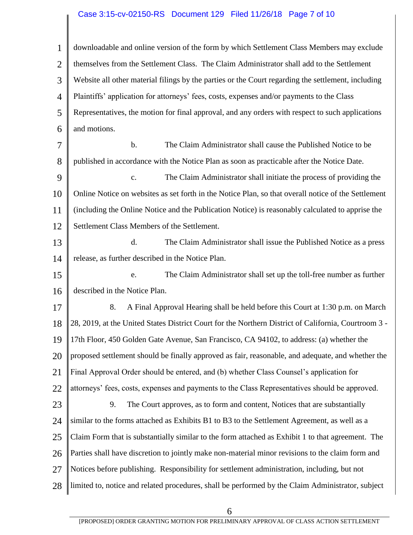# Case 3:15-cv-02150-RS Document 129 Filed 11/26/18 Page 7 of 10

1 2 3 4 5 6 7 8 9 10 11 12 13 14 15 16 17 18 19 20 21 22 23 24 25 26 27 28 downloadable and online version of the form by which Settlement Class Members may exclude themselves from the Settlement Class. The Claim Administrator shall add to the Settlement Website all other material filings by the parties or the Court regarding the settlement, including Plaintiffs' application for attorneys' fees, costs, expenses and/or payments to the Class Representatives, the motion for final approval, and any orders with respect to such applications and motions. b. The Claim Administrator shall cause the Published Notice to be published in accordance with the Notice Plan as soon as practicable after the Notice Date. c. The Claim Administrator shall initiate the process of providing the Online Notice on websites as set forth in the Notice Plan, so that overall notice of the Settlement (including the Online Notice and the Publication Notice) is reasonably calculated to apprise the Settlement Class Members of the Settlement. d. The Claim Administrator shall issue the Published Notice as a press release, as further described in the Notice Plan. e. The Claim Administrator shall set up the toll-free number as further described in the Notice Plan. 8. A Final Approval Hearing shall be held before this Court at 1:30 p.m. on March 28, 2019, at the United States District Court for the Northern District of California, Courtroom 3 - 17th Floor, 450 Golden Gate Avenue, San Francisco, CA 94102, to address: (a) whether the proposed settlement should be finally approved as fair, reasonable, and adequate, and whether the Final Approval Order should be entered, and (b) whether Class Counsel's application for attorneys' fees, costs, expenses and payments to the Class Representatives should be approved. 9. The Court approves, as to form and content, Notices that are substantially similar to the forms attached as Exhibits B1 to B3 to the Settlement Agreement, as well as a Claim Form that is substantially similar to the form attached as Exhibit 1 to that agreement. The Parties shall have discretion to jointly make non-material minor revisions to the claim form and Notices before publishing. Responsibility for settlement administration, including, but not limited to, notice and related procedures, shall be performed by the Claim Administrator, subject

6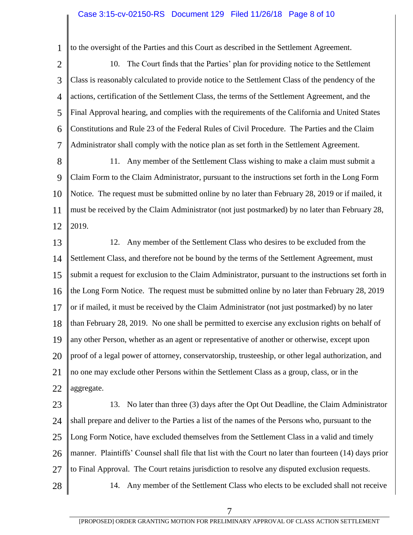## Case 3:15-cv-02150-RS Document 129 Filed 11/26/18 Page 8 of 10

to the oversight of the Parties and this Court as described in the Settlement Agreement.

1

28

2 3 4 5 6 7 10. The Court finds that the Parties' plan for providing notice to the Settlement Class is reasonably calculated to provide notice to the Settlement Class of the pendency of the actions, certification of the Settlement Class, the terms of the Settlement Agreement, and the Final Approval hearing, and complies with the requirements of the California and United States Constitutions and Rule 23 of the Federal Rules of Civil Procedure. The Parties and the Claim Administrator shall comply with the notice plan as set forth in the Settlement Agreement.

8 9 10 11 12 11. Any member of the Settlement Class wishing to make a claim must submit a Claim Form to the Claim Administrator, pursuant to the instructions set forth in the Long Form Notice. The request must be submitted online by no later than February 28, 2019 or if mailed, it must be received by the Claim Administrator (not just postmarked) by no later than February 28, 2019.

13 14 15 16 17 18 19 20 21 22 12. Any member of the Settlement Class who desires to be excluded from the Settlement Class, and therefore not be bound by the terms of the Settlement Agreement, must submit a request for exclusion to the Claim Administrator, pursuant to the instructions set forth in the Long Form Notice. The request must be submitted online by no later than February 28, 2019 or if mailed, it must be received by the Claim Administrator (not just postmarked) by no later than February 28, 2019. No one shall be permitted to exercise any exclusion rights on behalf of any other Person, whether as an agent or representative of another or otherwise, except upon proof of a legal power of attorney, conservatorship, trusteeship, or other legal authorization, and no one may exclude other Persons within the Settlement Class as a group, class, or in the aggregate.

23 24 25 26 27 13. No later than three (3) days after the Opt Out Deadline, the Claim Administrator shall prepare and deliver to the Parties a list of the names of the Persons who, pursuant to the Long Form Notice, have excluded themselves from the Settlement Class in a valid and timely manner. Plaintiffs' Counsel shall file that list with the Court no later than fourteen (14) days prior to Final Approval. The Court retains jurisdiction to resolve any disputed exclusion requests.

14. Any member of the Settlement Class who elects to be excluded shall not receive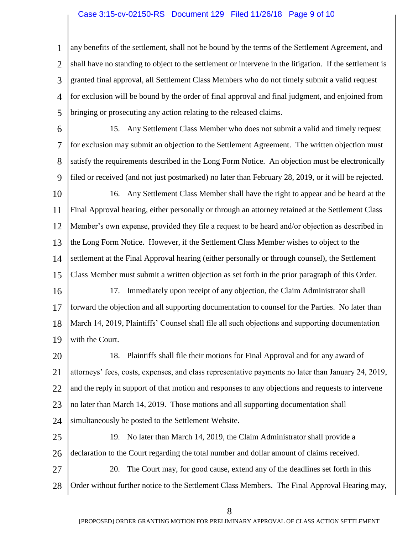#### Case 3:15-cv-02150-RS Document 129 Filed 11/26/18 Page 9 of 10

1 2 3 4 5 any benefits of the settlement, shall not be bound by the terms of the Settlement Agreement, and shall have no standing to object to the settlement or intervene in the litigation. If the settlement is granted final approval, all Settlement Class Members who do not timely submit a valid request for exclusion will be bound by the order of final approval and final judgment, and enjoined from bringing or prosecuting any action relating to the released claims.

- 6 7 8 9 15. Any Settlement Class Member who does not submit a valid and timely request for exclusion may submit an objection to the Settlement Agreement. The written objection must satisfy the requirements described in the Long Form Notice. An objection must be electronically filed or received (and not just postmarked) no later than February 28, 2019, or it will be rejected.
- 10 11 12 13 14 15 16. Any Settlement Class Member shall have the right to appear and be heard at the Final Approval hearing, either personally or through an attorney retained at the Settlement Class Member's own expense, provided they file a request to be heard and/or objection as described in the Long Form Notice. However, if the Settlement Class Member wishes to object to the settlement at the Final Approval hearing (either personally or through counsel), the Settlement Class Member must submit a written objection as set forth in the prior paragraph of this Order.
- 16 17 18 19 17. Immediately upon receipt of any objection, the Claim Administrator shall forward the objection and all supporting documentation to counsel for the Parties. No later than March 14, 2019, Plaintiffs' Counsel shall file all such objections and supporting documentation with the Court.
- 20 21 22 23 24 18. Plaintiffs shall file their motions for Final Approval and for any award of attorneys' fees, costs, expenses, and class representative payments no later than January 24, 2019, and the reply in support of that motion and responses to any objections and requests to intervene no later than March 14, 2019. Those motions and all supporting documentation shall simultaneously be posted to the Settlement Website.
- 25 26 19. No later than March 14, 2019, the Claim Administrator shall provide a declaration to the Court regarding the total number and dollar amount of claims received.
- 27 28 20. The Court may, for good cause, extend any of the deadlines set forth in this Order without further notice to the Settlement Class Members. The Final Approval Hearing may,